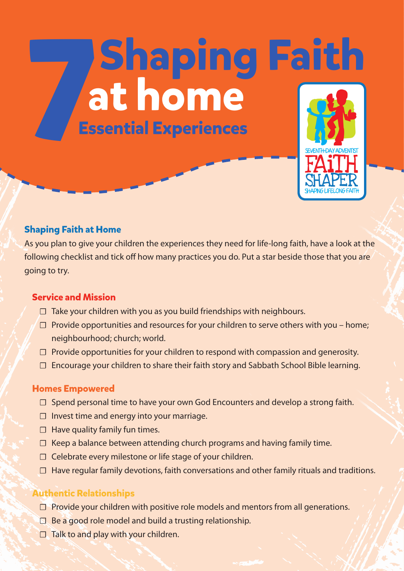# **Shaping Faith<br>at home<br>Essential Experiences 1**

## **Shaping Faith at Home**

As you plan to give your children the experiences they need for life-long faith, have a look at the following checklist and tick off how many practices you do. Put a star beside those that you are going to try.

# **Service and Mission**

- $\Box$  Take your children with you as you build friendships with neighbours.
- □ Provide opportunities and resources for your children to serve others with you home; neighbourhood; church; world.
- $\Box$  Provide opportunities for your children to respond with compassion and generosity.
- ☐ Encourage your children to share their faith story and Sabbath School Bible learning.

## **Homes Empowered**

- □ Spend personal time to have your own God Encounters and develop a strong faith.
- ☐ Invest time and energy into your marriage.
- $\Box$  Have quality family fun times.
- $\Box$  Keep a balance between attending church programs and having family time.
- $\Box$  Celebrate every milestone or life stage of your children.
- $\Box$  Have regular family devotions, faith conversations and other family rituals and traditions.

# **Authentic Relationships**

- $\Box$  Provide your children with positive role models and mentors from all generations.
- $\Box$  Be a good role model and build a trusting relationship.
- $\Box$  Talk to and play with your children.